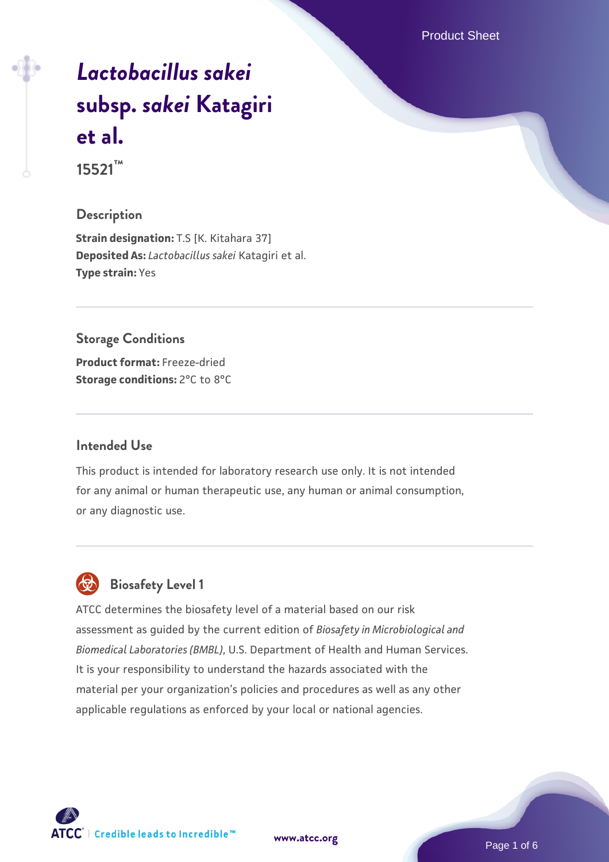Product Sheet

# *[Lactobacillus sakei](https://www.atcc.org/products/15521)* **[subsp.](https://www.atcc.org/products/15521)** *[sakei](https://www.atcc.org/products/15521)* **[Katagiri](https://www.atcc.org/products/15521) [et al.](https://www.atcc.org/products/15521) 15521™**

#### **Description**

**Strain designation: T.S [K. Kitahara 37] Deposited As:** *Lactobacillus sakei* Katagiri et al. **Type strain:** Yes

#### **Storage Conditions**

**Product format:** Freeze-dried **Storage conditions: 2°C to 8°C** 

#### **Intended Use**

This product is intended for laboratory research use only. It is not intended for any animal or human therapeutic use, any human or animal consumption, or any diagnostic use.

# **Biosafety Level 1**

ATCC determines the biosafety level of a material based on our risk assessment as guided by the current edition of *Biosafety in Microbiological and Biomedical Laboratories (BMBL)*, U.S. Department of Health and Human Services. It is your responsibility to understand the hazards associated with the material per your organization's policies and procedures as well as any other applicable regulations as enforced by your local or national agencies.



**[www.atcc.org](http://www.atcc.org)**

Page 1 of 6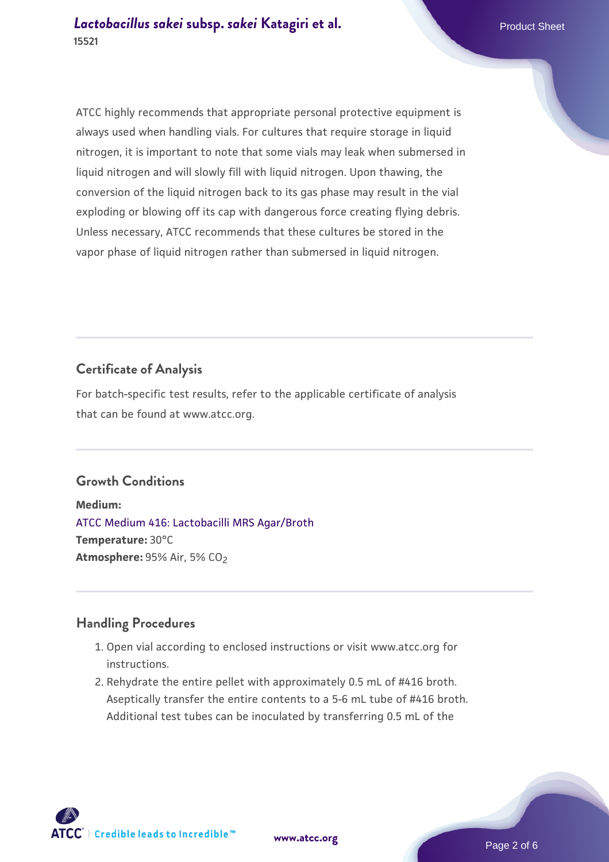ATCC highly recommends that appropriate personal protective equipment is always used when handling vials. For cultures that require storage in liquid nitrogen, it is important to note that some vials may leak when submersed in liquid nitrogen and will slowly fill with liquid nitrogen. Upon thawing, the conversion of the liquid nitrogen back to its gas phase may result in the vial exploding or blowing off its cap with dangerous force creating flying debris. Unless necessary, ATCC recommends that these cultures be stored in the vapor phase of liquid nitrogen rather than submersed in liquid nitrogen.

## **Certificate of Analysis**

For batch-specific test results, refer to the applicable certificate of analysis that can be found at www.atcc.org.

#### **Growth Conditions**

**Medium:**  [ATCC Medium 416: Lactobacilli MRS Agar/Broth](https://www.atcc.org/-/media/product-assets/documents/microbial-media-formulations/4/1/6/atcc-medium-416.pdf?rev=b4280b8582cc4389a3bdf40c98a7fa03) **Temperature:** 30°C **Atmosphere: 95% Air, 5% CO<sub>2</sub>** 

#### **Handling Procedures**

- 1. Open vial according to enclosed instructions or visit www.atcc.org for instructions.
- 2. Rehydrate the entire pellet with approximately 0.5 mL of #416 broth. Aseptically transfer the entire contents to a 5-6 mL tube of #416 broth. Additional test tubes can be inoculated by transferring 0.5 mL of the

 $\mathsf{ATCC}^*$   $\vdash$  Credible leads to Incredible  $\mathbbm{M}$ 

**[www.atcc.org](http://www.atcc.org)**

Page 2 of 6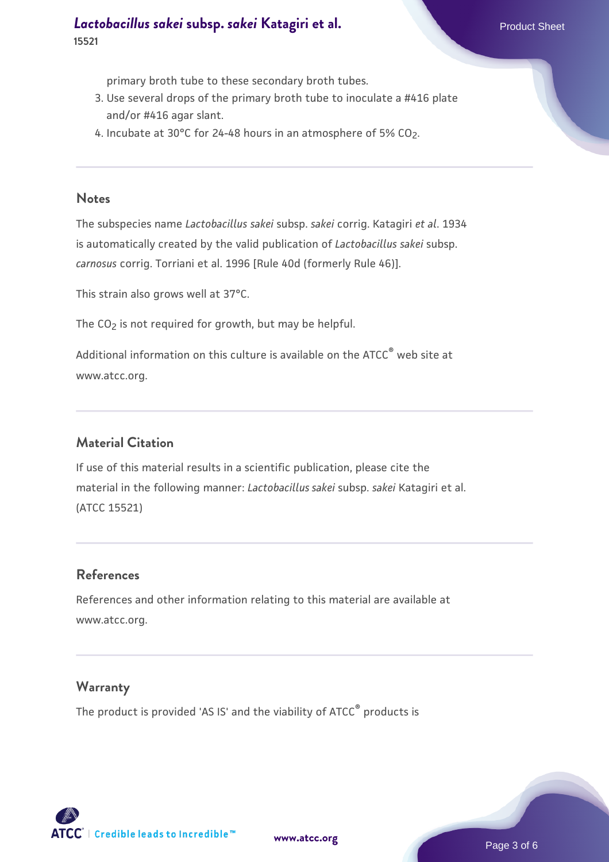### **[Lactobacillus sakei](https://www.atcc.org/products/15521) [subsp.](https://www.atcc.org/products/15521)** *[sakei](https://www.atcc.org/products/15521)* **[Katagiri et al.](https://www.atcc.org/products/15521)** Product Sheet **15521**

primary broth tube to these secondary broth tubes.

- 3. Use several drops of the primary broth tube to inoculate a #416 plate and/or #416 agar slant.
- 4. Incubate at 30°C for 24-48 hours in an atmosphere of 5% CO<sub>2</sub>.

#### **Notes**

The subspecies name *Lactobacillus sakei* subsp. *sakei* corrig. Katagiri *et al*. 1934 is automatically created by the valid publication of *Lactobacillus sakei* subsp. *carnosus* corrig. Torriani et al. 1996 [Rule 40d (formerly Rule 46)].

This strain also grows well at 37°C.

The  $CO<sub>2</sub>$  is not required for growth, but may be helpful.

Additional information on this culture is available on the ATCC<sup>®</sup> web site at www.atcc.org.

#### **Material Citation**

If use of this material results in a scientific publication, please cite the material in the following manner: *Lactobacillus sakei* subsp. *sakei* Katagiri et al. (ATCC 15521)

#### **References**

References and other information relating to this material are available at www.atcc.org.

#### **Warranty**

The product is provided 'AS IS' and the viability of ATCC® products is

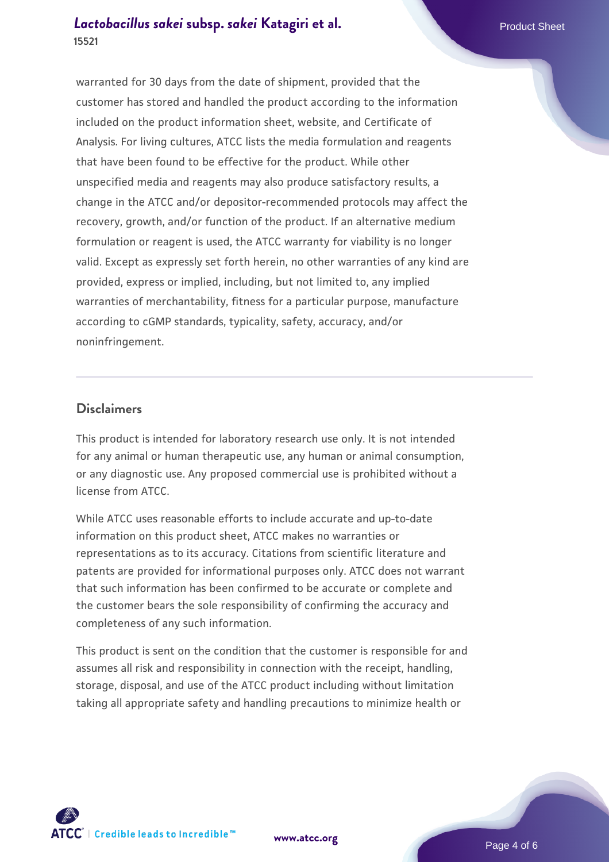### *[Lactobacillus sakei](https://www.atcc.org/products/15521)* **[subsp.](https://www.atcc.org/products/15521)** *[sakei](https://www.atcc.org/products/15521)* **[Katagiri et al.](https://www.atcc.org/products/15521) Product Sheet Product Sheet 15521**

warranted for 30 days from the date of shipment, provided that the customer has stored and handled the product according to the information included on the product information sheet, website, and Certificate of Analysis. For living cultures, ATCC lists the media formulation and reagents that have been found to be effective for the product. While other unspecified media and reagents may also produce satisfactory results, a change in the ATCC and/or depositor-recommended protocols may affect the recovery, growth, and/or function of the product. If an alternative medium formulation or reagent is used, the ATCC warranty for viability is no longer valid. Except as expressly set forth herein, no other warranties of any kind are provided, express or implied, including, but not limited to, any implied warranties of merchantability, fitness for a particular purpose, manufacture according to cGMP standards, typicality, safety, accuracy, and/or noninfringement.

#### **Disclaimers**

This product is intended for laboratory research use only. It is not intended for any animal or human therapeutic use, any human or animal consumption, or any diagnostic use. Any proposed commercial use is prohibited without a license from ATCC.

While ATCC uses reasonable efforts to include accurate and up-to-date information on this product sheet, ATCC makes no warranties or representations as to its accuracy. Citations from scientific literature and patents are provided for informational purposes only. ATCC does not warrant that such information has been confirmed to be accurate or complete and the customer bears the sole responsibility of confirming the accuracy and completeness of any such information.

This product is sent on the condition that the customer is responsible for and assumes all risk and responsibility in connection with the receipt, handling, storage, disposal, and use of the ATCC product including without limitation taking all appropriate safety and handling precautions to minimize health or



**[www.atcc.org](http://www.atcc.org)**

Page 4 of 6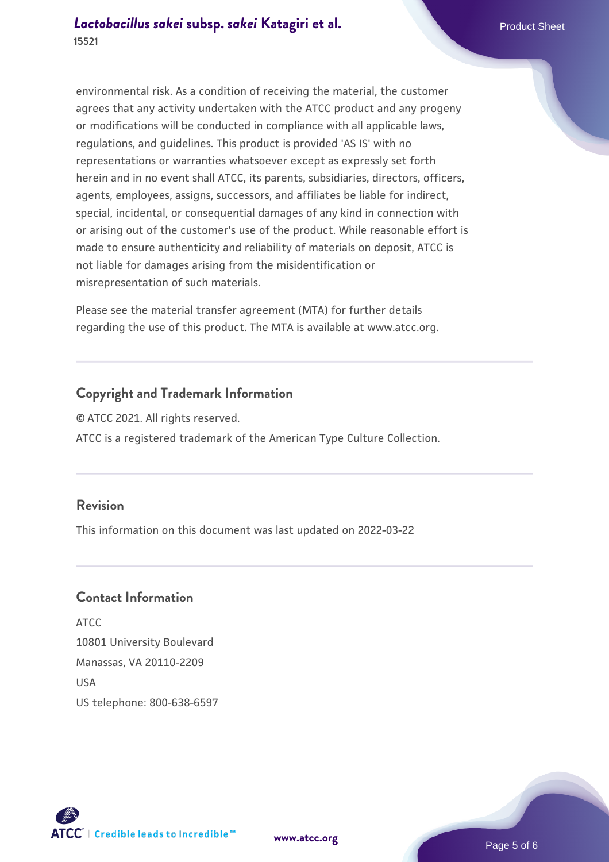environmental risk. As a condition of receiving the material, the customer agrees that any activity undertaken with the ATCC product and any progeny or modifications will be conducted in compliance with all applicable laws, regulations, and guidelines. This product is provided 'AS IS' with no representations or warranties whatsoever except as expressly set forth herein and in no event shall ATCC, its parents, subsidiaries, directors, officers, agents, employees, assigns, successors, and affiliates be liable for indirect, special, incidental, or consequential damages of any kind in connection with or arising out of the customer's use of the product. While reasonable effort is made to ensure authenticity and reliability of materials on deposit, ATCC is not liable for damages arising from the misidentification or misrepresentation of such materials.

Please see the material transfer agreement (MTA) for further details regarding the use of this product. The MTA is available at www.atcc.org.

#### **Copyright and Trademark Information**

© ATCC 2021. All rights reserved. ATCC is a registered trademark of the American Type Culture Collection.

#### **Revision**

This information on this document was last updated on 2022-03-22

#### **Contact Information**

ATCC 10801 University Boulevard Manassas, VA 20110-2209 **IISA** US telephone: 800-638-6597